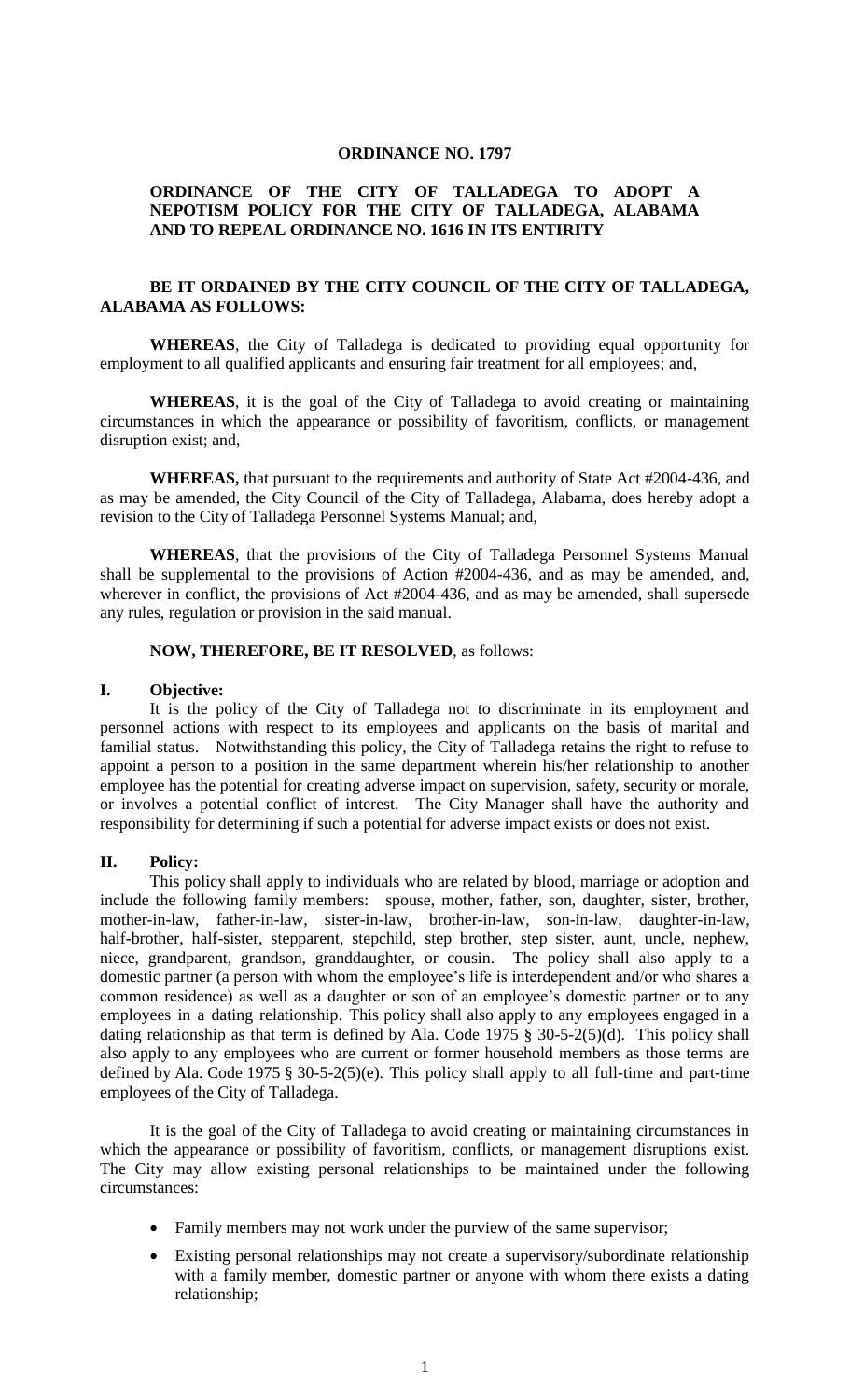#### **ORDINANCE NO. 1797**

## **ORDINANCE OF THE CITY OF TALLADEGA TO ADOPT A NEPOTISM POLICY FOR THE CITY OF TALLADEGA, ALABAMA AND TO REPEAL ORDINANCE NO. 1616 IN ITS ENTIRITY**

# **BE IT ORDAINED BY THE CITY COUNCIL OF THE CITY OF TALLADEGA, ALABAMA AS FOLLOWS:**

**WHEREAS**, the City of Talladega is dedicated to providing equal opportunity for employment to all qualified applicants and ensuring fair treatment for all employees; and,

**WHEREAS**, it is the goal of the City of Talladega to avoid creating or maintaining circumstances in which the appearance or possibility of favoritism, conflicts, or management disruption exist; and,

**WHEREAS,** that pursuant to the requirements and authority of State Act #2004-436, and as may be amended, the City Council of the City of Talladega, Alabama, does hereby adopt a revision to the City of Talladega Personnel Systems Manual; and,

**WHEREAS**, that the provisions of the City of Talladega Personnel Systems Manual shall be supplemental to the provisions of Action #2004-436, and as may be amended, and, wherever in conflict, the provisions of Act #2004-436, and as may be amended, shall supersede any rules, regulation or provision in the said manual.

### **NOW, THEREFORE, BE IT RESOLVED**, as follows:

#### **I. Objective:**

It is the policy of the City of Talladega not to discriminate in its employment and personnel actions with respect to its employees and applicants on the basis of marital and familial status. Notwithstanding this policy, the City of Talladega retains the right to refuse to appoint a person to a position in the same department wherein his/her relationship to another employee has the potential for creating adverse impact on supervision, safety, security or morale, or involves a potential conflict of interest. The City Manager shall have the authority and responsibility for determining if such a potential for adverse impact exists or does not exist.

### **II. Policy:**

This policy shall apply to individuals who are related by blood, marriage or adoption and include the following family members: spouse, mother, father, son, daughter, sister, brother, mother-in-law, father-in-law, sister-in-law, brother-in-law, son-in-law, daughter-in-law, half-brother, half-sister, stepparent, stepchild, step brother, step sister, aunt, uncle, nephew, niece, grandparent, grandson, granddaughter, or cousin. The policy shall also apply to a domestic partner (a person with whom the employee's life is interdependent and/or who shares a common residence) as well as a daughter or son of an employee's domestic partner or to any employees in a dating relationship. This policy shall also apply to any employees engaged in a dating relationship as that term is defined by Ala. Code 1975 § 30-5-2(5)(d). This policy shall also apply to any employees who are current or former household members as those terms are defined by Ala. Code 1975 § 30-5-2(5)(e). This policy shall apply to all full-time and part-time employees of the City of Talladega.

It is the goal of the City of Talladega to avoid creating or maintaining circumstances in which the appearance or possibility of favoritism, conflicts, or management disruptions exist. The City may allow existing personal relationships to be maintained under the following circumstances:

- Family members may not work under the purview of the same supervisor;
- Existing personal relationships may not create a supervisory/subordinate relationship with a family member, domestic partner or anyone with whom there exists a dating relationship;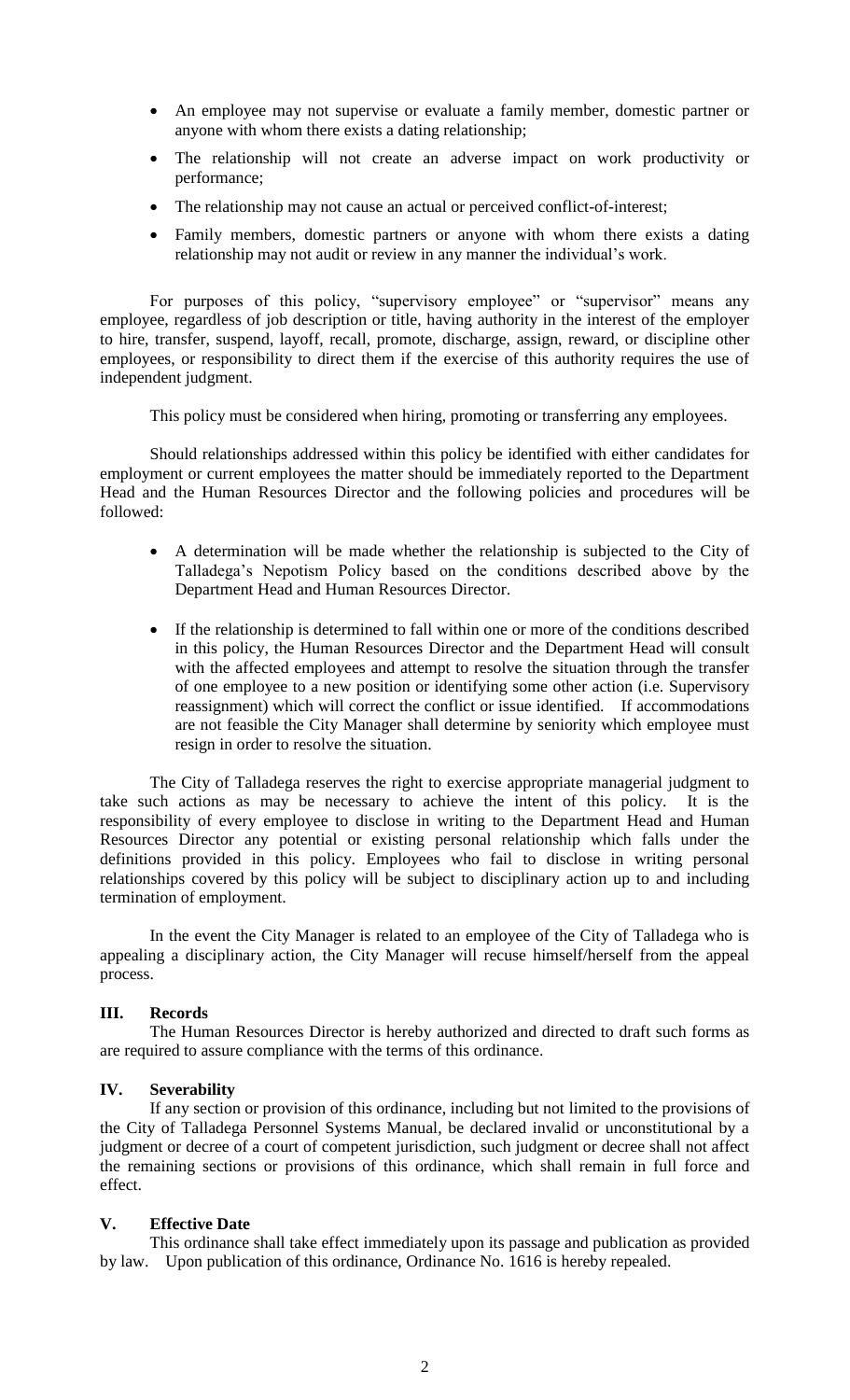- An employee may not supervise or evaluate a family member, domestic partner or anyone with whom there exists a dating relationship;
- The relationship will not create an adverse impact on work productivity or performance;
- The relationship may not cause an actual or perceived conflict-of-interest;
- Family members, domestic partners or anyone with whom there exists a dating relationship may not audit or review in any manner the individual's work.

For purposes of this policy, "supervisory employee" or "supervisor" means any employee, regardless of job description or title, having authority in the interest of the employer to hire, transfer, suspend, layoff, recall, promote, discharge, assign, reward, or discipline other employees, or responsibility to direct them if the exercise of this authority requires the use of independent judgment.

This policy must be considered when hiring, promoting or transferring any employees.

Should relationships addressed within this policy be identified with either candidates for employment or current employees the matter should be immediately reported to the Department Head and the Human Resources Director and the following policies and procedures will be followed:

- A determination will be made whether the relationship is subjected to the City of Talladega's Nepotism Policy based on the conditions described above by the Department Head and Human Resources Director.
- If the relationship is determined to fall within one or more of the conditions described in this policy, the Human Resources Director and the Department Head will consult with the affected employees and attempt to resolve the situation through the transfer of one employee to a new position or identifying some other action (i.e. Supervisory reassignment) which will correct the conflict or issue identified. If accommodations are not feasible the City Manager shall determine by seniority which employee must resign in order to resolve the situation.

The City of Talladega reserves the right to exercise appropriate managerial judgment to take such actions as may be necessary to achieve the intent of this policy. It is the responsibility of every employee to disclose in writing to the Department Head and Human Resources Director any potential or existing personal relationship which falls under the definitions provided in this policy. Employees who fail to disclose in writing personal relationships covered by this policy will be subject to disciplinary action up to and including termination of employment.

In the event the City Manager is related to an employee of the City of Talladega who is appealing a disciplinary action, the City Manager will recuse himself/herself from the appeal process.

# **III. Records**

The Human Resources Director is hereby authorized and directed to draft such forms as are required to assure compliance with the terms of this ordinance.

## **IV. Severability**

If any section or provision of this ordinance, including but not limited to the provisions of the City of Talladega Personnel Systems Manual, be declared invalid or unconstitutional by a judgment or decree of a court of competent jurisdiction, such judgment or decree shall not affect the remaining sections or provisions of this ordinance, which shall remain in full force and effect.

# **V. Effective Date**

This ordinance shall take effect immediately upon its passage and publication as provided by law. Upon publication of this ordinance, Ordinance No. 1616 is hereby repealed.